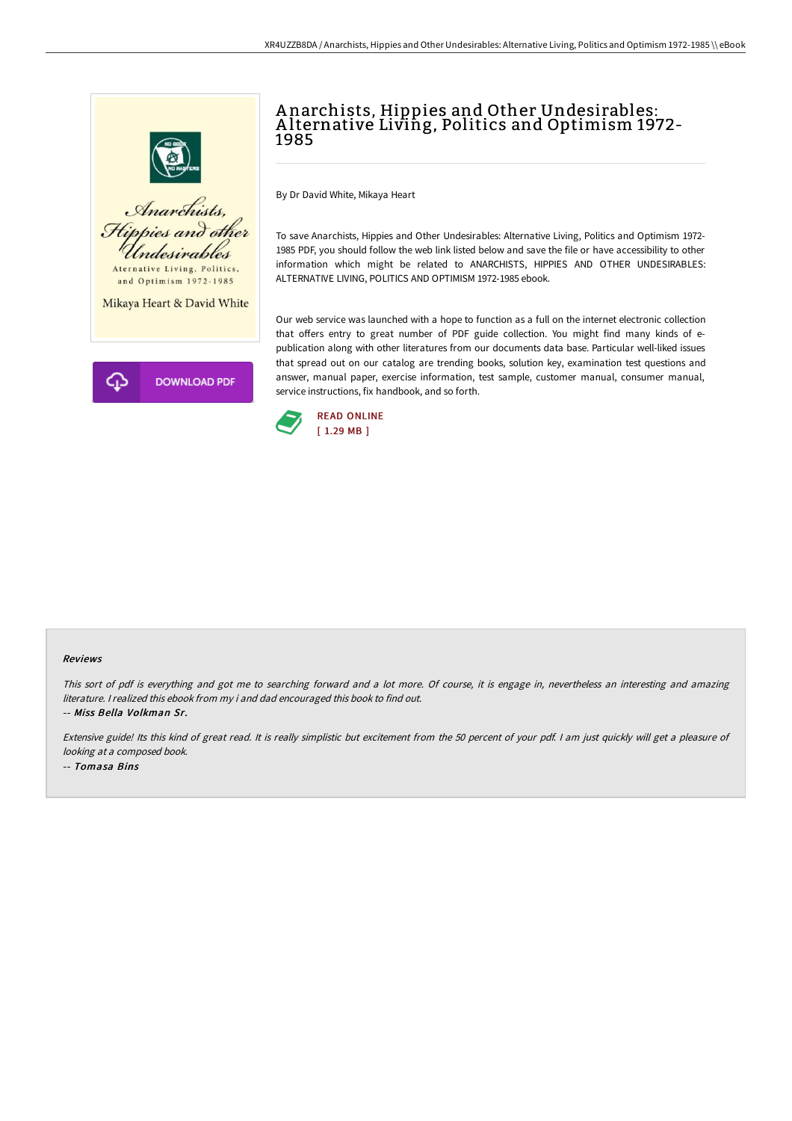

## A narchists, Hippies and Other Undesirables: A lternative Living, Politics and Optimism 1972- 1985

By Dr David White, Mikaya Heart

To save Anarchists, Hippies and Other Undesirables: Alternative Living, Politics and Optimism 1972- 1985 PDF, you should follow the web link listed below and save the file or have accessibility to other information which might be related to ANARCHISTS, HIPPIES AND OTHER UNDESIRABLES: ALTERNATIVE LIVING, POLITICS AND OPTIMISM 1972-1985 ebook.

Our web service was launched with a hope to function as a full on the internet electronic collection that offers entry to great number of PDF guide collection. You might find many kinds of epublication along with other literatures from our documents data base. Particular well-liked issues that spread out on our catalog are trending books, solution key, examination test questions and answer, manual paper, exercise information, test sample, customer manual, consumer manual, service instructions, fix handbook, and so forth.



## Reviews

This sort of pdf is everything and got me to searching forward and <sup>a</sup> lot more. Of course, it is engage in, nevertheless an interesting and amazing literature. <sup>I</sup> realized this ebook from my i and dad encouraged this book to find out. -- Miss Bella Volkman Sr.

Extensive guide! Its this kind of great read. It is really simplistic but excitement from the 50 percent of your pdf. I am just quickly will get a pleasure of looking at <sup>a</sup> composed book. -- Tomasa Bins